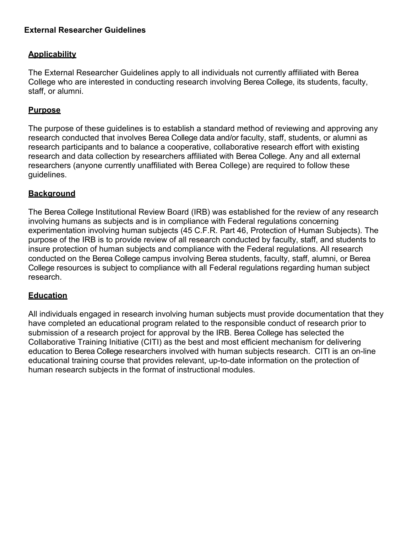### **External Researcher Guidelines**

### **Applicability**

The External Researcher Guidelines apply to all individuals not currently affiliated with Berea College who are interested in conducting research involving Berea College, its students, faculty, staff, or alumni.

#### **Purpose**

The purpose of these guidelines is to establish a standard method of reviewing and approving any research conducted that involves Berea College data and/or faculty, staff, students, or alumni as research participants and to balance a cooperative, collaborative research effort with existing research and data collection by researchers affiliated with Berea College. Any and all external researchers (anyone currently unaffiliated with Berea College) are required to follow these guidelines.

#### **Background**

The Berea College Institutional Review Board (IRB) was established for the review of any research involving humans as subjects and is in compliance with Federal regulations concerning experimentation involving human subjects (45 C.F.R. Part 46, Protection of Human Subjects). The purpose of the IRB is to provide review of all [research](http://www4.samford.edu/IRB/purpose.html#r) conducted by faculty, staff, and students to insure protection of human subjects and compliance with the Federal regulations. All research conducted on the Berea College campus involving Berea students, faculty, staff, alumni, or Berea College resources is subject to compliance with all Federal regulations regarding human subject research.

#### **Education**

All individuals engaged in research involving human subjects must provide documentation that they have completed an educational program related to the responsible conduct of research prior to submission of a research project for approval by the IRB. Berea College has selected the Collaborative Training Initiative (CITI) as the best and most efficient mechanism for delivering education to Berea College researchers involved with human subjects research. CITI is an on-line educational training course that provides relevant, up-to-date information on the protection of human research subjects in the format of instructional modules.